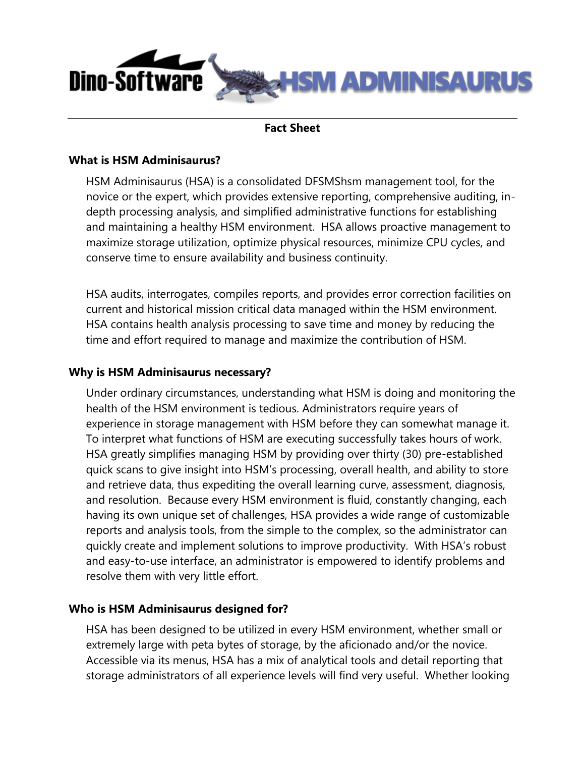

### **Fact Sheet**

### **What is HSM Adminisaurus?**

HSM Adminisaurus (HSA) is a consolidated DFSMShsm management tool, for the novice or the expert, which provides extensive reporting, comprehensive auditing, indepth processing analysis, and simplified administrative functions for establishing and maintaining a healthy HSM environment. HSA allows proactive management to maximize storage utilization, optimize physical resources, minimize CPU cycles, and conserve time to ensure availability and business continuity.

HSA audits, interrogates, compiles reports, and provides error correction facilities on current and historical mission critical data managed within the HSM environment. HSA contains health analysis processing to save time and money by reducing the time and effort required to manage and maximize the contribution of HSM.

### **Why is HSM Adminisaurus necessary?**

Under ordinary circumstances, understanding what HSM is doing and monitoring the health of the HSM environment is tedious. Administrators require years of experience in storage management with HSM before they can somewhat manage it. To interpret what functions of HSM are executing successfully takes hours of work. HSA greatly simplifies managing HSM by providing over thirty (30) pre-established quick scans to give insight into HSM's processing, overall health, and ability to store and retrieve data, thus expediting the overall learning curve, assessment, diagnosis, and resolution. Because every HSM environment is fluid, constantly changing, each having its own unique set of challenges, HSA provides a wide range of customizable reports and analysis tools, from the simple to the complex, so the administrator can quickly create and implement solutions to improve productivity. With HSA's robust and easy-to-use interface, an administrator is empowered to identify problems and resolve them with very little effort.

### **Who is HSM Adminisaurus designed for?**

HSA has been designed to be utilized in every HSM environment, whether small or extremely large with peta bytes of storage, by the aficionado and/or the novice. Accessible via its menus, HSA has a mix of analytical tools and detail reporting that storage administrators of all experience levels will find very useful. Whether looking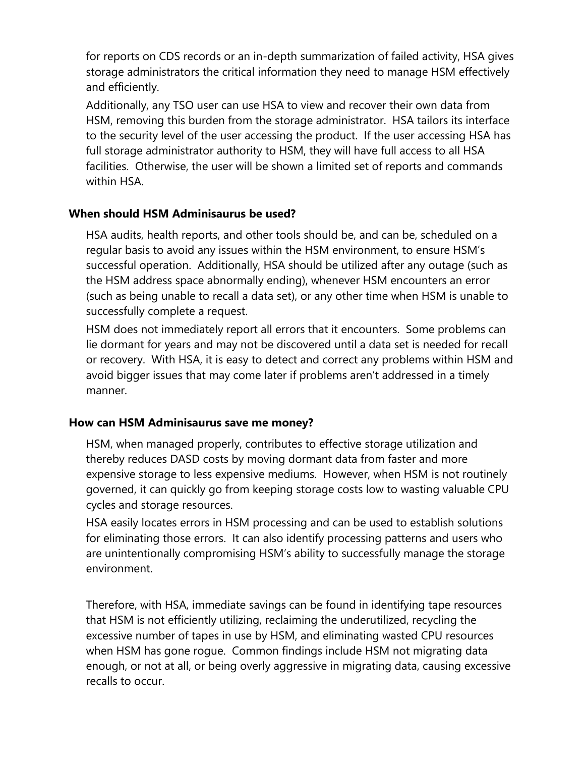for reports on CDS records or an in-depth summarization of failed activity, HSA gives storage administrators the critical information they need to manage HSM effectively and efficiently.

Additionally, any TSO user can use HSA to view and recover their own data from HSM, removing this burden from the storage administrator. HSA tailors its interface to the security level of the user accessing the product. If the user accessing HSA has full storage administrator authority to HSM, they will have full access to all HSA facilities. Otherwise, the user will be shown a limited set of reports and commands within HSA.

# **When should HSM Adminisaurus be used?**

HSA audits, health reports, and other tools should be, and can be, scheduled on a regular basis to avoid any issues within the HSM environment, to ensure HSM's successful operation. Additionally, HSA should be utilized after any outage (such as the HSM address space abnormally ending), whenever HSM encounters an error (such as being unable to recall a data set), or any other time when HSM is unable to successfully complete a request.

HSM does not immediately report all errors that it encounters. Some problems can lie dormant for years and may not be discovered until a data set is needed for recall or recovery. With HSA, it is easy to detect and correct any problems within HSM and avoid bigger issues that may come later if problems aren't addressed in a timely manner.

# **How can HSM Adminisaurus save me money?**

HSM, when managed properly, contributes to effective storage utilization and thereby reduces DASD costs by moving dormant data from faster and more expensive storage to less expensive mediums. However, when HSM is not routinely governed, it can quickly go from keeping storage costs low to wasting valuable CPU cycles and storage resources.

HSA easily locates errors in HSM processing and can be used to establish solutions for eliminating those errors. It can also identify processing patterns and users who are unintentionally compromising HSM's ability to successfully manage the storage environment.

Therefore, with HSA, immediate savings can be found in identifying tape resources that HSM is not efficiently utilizing, reclaiming the underutilized, recycling the excessive number of tapes in use by HSM, and eliminating wasted CPU resources when HSM has gone rogue. Common findings include HSM not migrating data enough, or not at all, or being overly aggressive in migrating data, causing excessive recalls to occur.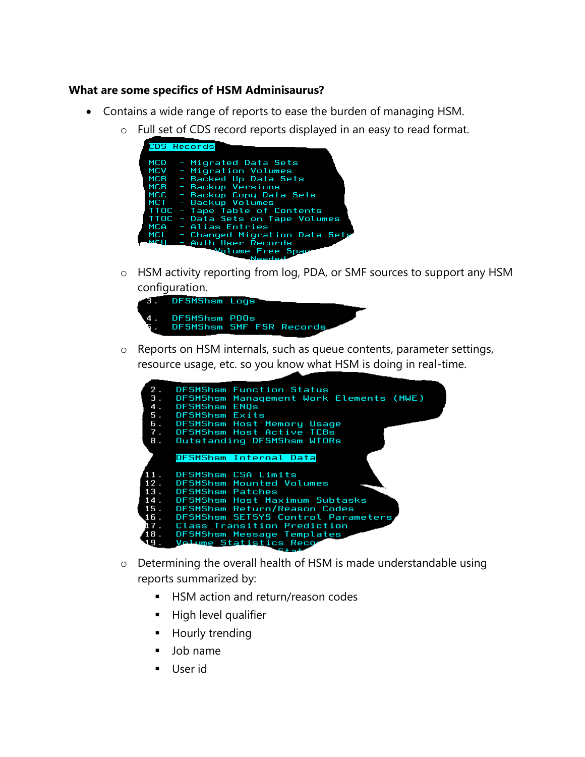## **What are some specifics of HSM Adminisaurus?**

- Contains a wide range of reports to ease the burden of managing HSM.
	- o Full set of CDS record reports displayed in an easy to read format.

|            | CDS Records                       |
|------------|-----------------------------------|
|            |                                   |
| <b>MCD</b> | - Migrated Data Sets              |
|            | MCV - Migration Volumes           |
|            | MCB - Backed Up Data Sets         |
|            | MCB - Backup Versions             |
|            | MCC - Backup Copy Data Sets       |
|            | MCT - Backup Volumes              |
|            | TTOC - Tape Table of Contents     |
|            | TTOC - Data Sets on Tape Volumes  |
|            | MCA - Alias Entries               |
|            | MCL - Changed Migration Data Sets |
|            | - Auth User Records               |
|            | Volume Free Spac                  |
|            | Noodod                            |

o HSM activity reporting from log, PDA, or SMF sources to support any HSM configuration.



o Reports on HSM internals, such as queue contents, parameter settings, resource usage, etc. so you know what HSM is doing in real-time.

|     | 2. DFSMShsm Function Status                |
|-----|--------------------------------------------|
|     | 3. DFSMShsm Management Work Elements (MWE) |
|     | 4. DFSMShsm ENOs                           |
|     | 5. DFSMShsm Exits                          |
|     | 6. DFSMShsm Host Memory Usage              |
|     | 7. DFSMShsm Host Active TCBs               |
|     | 8. Outstanding DFSMShsm WTORs              |
|     |                                            |
|     | DFSMShsm Internal Data                     |
|     |                                            |
|     | 11. DFSMShsm CSA Limits                    |
|     | 12. DFSMShsm Mounted Volumes               |
|     | 13. DFSMShsm Patches                       |
|     | 14. DFSMShsm Host Maximum Subtasks         |
|     | 15. DFSMShsm Return/Reason Codes           |
|     | 16. DFSMShsm SETSYS Control Parameters     |
|     | 17.  Class Transition Prediction           |
|     | 18. DFSMShsm Message Templates             |
| 19. | . Volume Statistics Reco                   |
|     |                                            |

- o Determining the overall health of HSM is made understandable using reports summarized by:
	- **HSM action and return/reason codes**
	- **High level qualifier**
	- **Hourly trending**
	- Job name
	- User id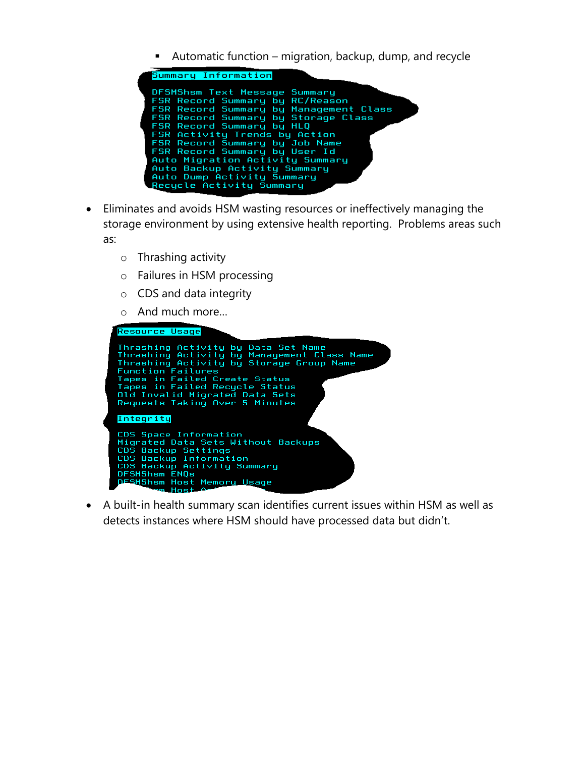Automatic function – migration, backup, dump, and recycle

| Summary Information                                             |
|-----------------------------------------------------------------|
| DFSMShsm Text Message Summary                                   |
| FSR Record Summary by RC/Reason                                 |
| FSR Record Summary by Management Class                          |
| FSR Record Summary by Storage Class                             |
| FSR Record Summary by HLQ                                       |
| FSR Activity Trends by Action<br>FSR Record Summary by Job Name |
| FSR Record Summary by User Id                                   |
| Auto Migration Activity Summary                                 |
| Auto Backup Activity Summary                                    |
| Auto Dump Activity Summary                                      |
| Recucle Activity Summary                                        |
|                                                                 |

- Eliminates and avoids HSM wasting resources or ineffectively managing the storage environment by using extensive health reporting. Problems areas such as:
	- o Thrashing activity
	- o Failures in HSM processing
	- o CDS and data integrity
	- o And much more…



 A built-in health summary scan identifies current issues within HSM as well as detects instances where HSM should have processed data but didn't.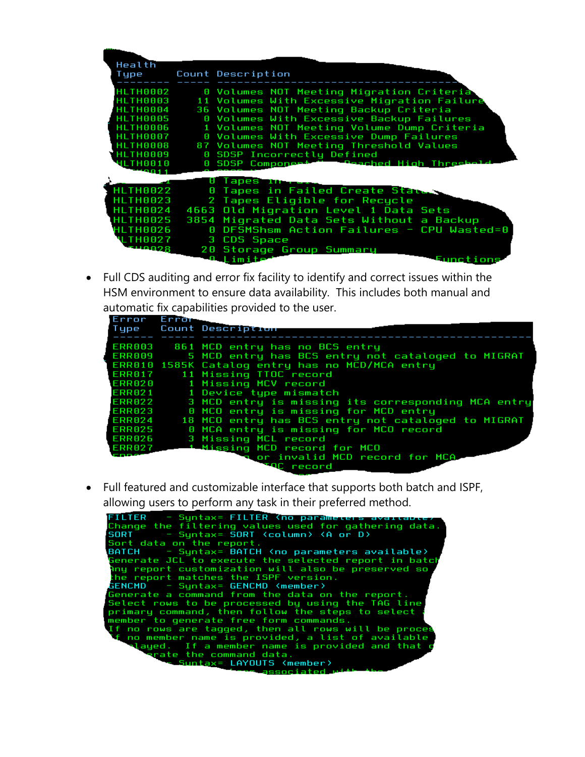| Health          |                                                        |
|-----------------|--------------------------------------------------------|
| Type            | Count Description                                      |
|                 |                                                        |
| <b>HLTH0002</b> | 0 Volumes NOT Meeting Migration Criteria               |
| HLTH0003        | 11 Volumes With Excessive Migration Failure            |
| <b>HLTH0004</b> | 36 Volumes NOT Meeting Backup Criteria                 |
| HLTH0005        | 0 Volumes With Excessive Backup Failures               |
| <b>HLTH0006</b> | 1 Volumes NOT Meeting Volume Dump Criteria             |
| <b>HLTH0007</b> | 0 Volumes With Excessive Dump Failures                 |
| <b>HLTH0008</b> | 87 Volumes NOT Meeting Threshold Values                |
| <b>HLTH0009</b> | 0 SDSP Incorrectly Defined                             |
| <b>HLTH0010</b> | 0 SDSP Compone <del>rt To Peached High Threshold</del> |
|                 |                                                        |
|                 | Tapes <del>In </del>                                   |
| <b>HLTH0022</b> | 0 Tapes in Failed Create States                        |
| HLTH0023        | 2 Tapes Eligible for Recucle                           |
| <b>HLTH0024</b> | 4663 Old Migration Level 1 Data Sets                   |
| HLTH0025        | 3854 Migrated Data Sets Without a Backup               |
| HLTH0026        | 0 DFSMShsm Action Failures - CPU Wasted=0              |
| <b>LTH0027</b>  | 3 CDS Space                                            |
| - 110028        |                                                        |
|                 | 20 Storage Group Summary                               |
|                 | <b>A</b> Limite-<br><b>Functions</b>                   |

 Full CDS auditing and error fix facility to identify and correct issues within the HSM environment to ensure data availability. This includes both manual and automatic fix capabilities provided to the user.

| Error Error | Type Count Description                             |
|-------------|----------------------------------------------------|
| ERR003      | 861 MCD entry has no BCS entry                     |
| ERR009      | 5 MCD entry has BCS entry not cataloged to MIGRAT  |
|             | ERR010 1585K Catalog entry has no MCD/MCA entry    |
| ERR017      | 11 Missing TTOC record                             |
| ERR020      | 1 Missing MCV record                               |
| ERR021      | 1 Device type mismatch                             |
| ERR022      | 3 MCD entry is missing its corresponding MCA entry |
| ERR023      | 0 MCO entry is missing for MCD entry               |
| ERR024      | 18 MCO entry has BCS entry not cataloged to MIGRAT |
| ERR025      | 0 MCA entry is missing for MCO record              |
| ERR026      | 3 Missing MCL record                               |
| ERR027      | 1 Missing MCD record for MCO                       |
|             | a or invalid MCD record for MCA                    |
|             | <b>I</b> QC record                                 |

 Full featured and customizable interface that supports both batch and ISPF, allowing users to perform any task in their preferred method.